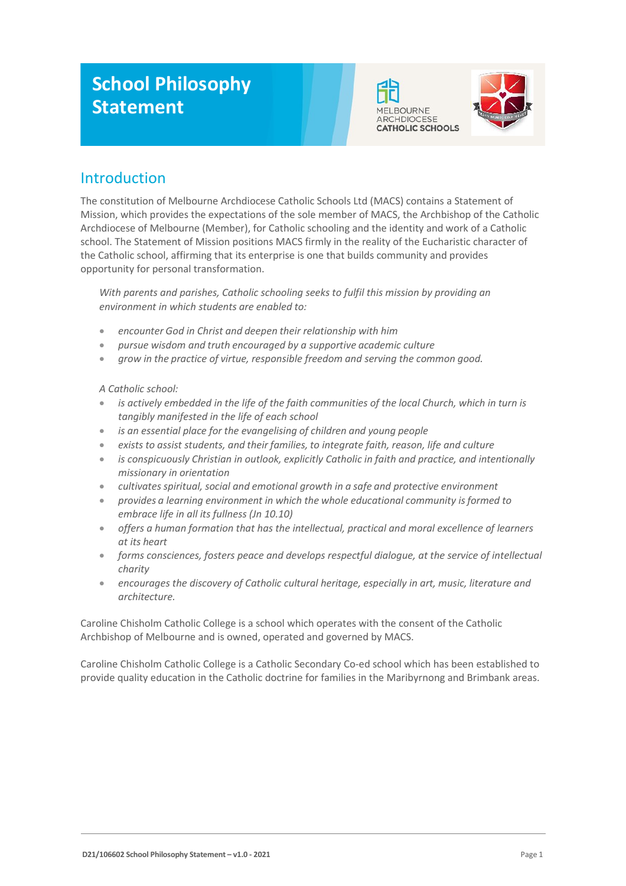# **School Philosophy Statement**





## Introduction

The constitution of Melbourne Archdiocese Catholic Schools Ltd (MACS) contains a Statement of Mission, which provides the expectations of the sole member of MACS, the Archbishop of the Catholic Archdiocese of Melbourne (Member), for Catholic schooling and the identity and work of a Catholic school. The Statement of Mission positions MACS firmly in the reality of the Eucharistic character of the Catholic school, affirming that its enterprise is one that builds community and provides opportunity for personal transformation.

*With parents and parishes, Catholic schooling seeks to fulfil this mission by providing an environment in which students are enabled to:*

- *encounter God in Christ and deepen their relationship with him*
- *pursue wisdom and truth encouraged by a supportive academic culture*
- *grow in the practice of virtue, responsible freedom and serving the common good.*

#### *A Catholic school:*

- *is actively embedded in the life of the faith communities of the local Church, which in turn is tangibly manifested in the life of each school*
- *is an essential place for the evangelising of children and young people*
- *exists to assist students, and their families, to integrate faith, reason, life and culture*
- *is conspicuously Christian in outlook, explicitly Catholic in faith and practice, and intentionally missionary in orientation*
- *cultivates spiritual, social and emotional growth in a safe and protective environment*
- *provides a learning environment in which the whole educational community isformed to embrace life in all its fullness (Jn 10.10)*
- *offers a human formation that has the intellectual, practical and moral excellence of learners at its heart*
- *forms consciences, fosters peace and develops respectful dialogue, at the service of intellectual charity*
- *encourages the discovery of Catholic cultural heritage, especially in art, music, literature and architecture.*

Caroline Chisholm Catholic College is a school which operates with the consent of the Catholic Archbishop of Melbourne and is owned, operated and governed by MACS.

Caroline Chisholm Catholic College is a Catholic Secondary Co-ed school which has been established to provide quality education in the Catholic doctrine for families in the Maribyrnong and Brimbank areas.